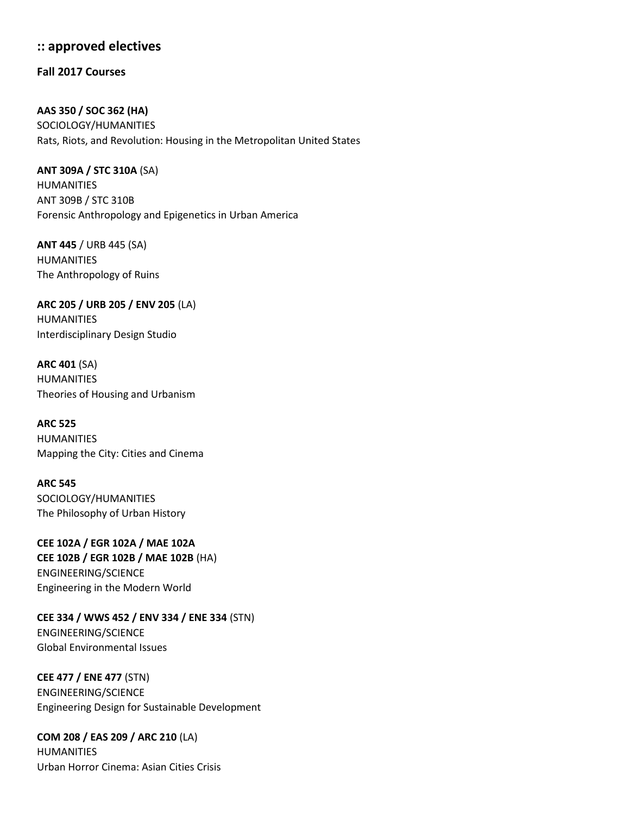## **:: approved electives**

**Fall 2017 Courses**

**AAS 350 / SOC 362 (HA)**  SOCIOLOGY/HUMANITIES Rats, Riots, and Revolution: Housing in the Metropolitan United States

**ANT 309A / STC 310A** (SA) HUMANITIES ANT 309B / STC 310B Forensic Anthropology and Epigenetics in Urban America

**ANT 445** / URB 445 (SA) HUMANITIES The Anthropology of Ruins

**ARC 205 / URB 205 / ENV 205** (LA) HUMANITIES Interdisciplinary Design Studio

**ARC 401** (SA) HUMANITIES Theories of Housing and Urbanism

**ARC 525** HUMANITIES Mapping the City: Cities and Cinema

**ARC 545** SOCIOLOGY/HUMANITIES The Philosophy of Urban History

**CEE 102A / EGR 102A / MAE 102A CEE 102B / EGR 102B / MAE 102B** (HA) ENGINEERING/SCIENCE Engineering in the Modern World

**CEE 334 / WWS 452 / ENV 334 / ENE 334** (STN) ENGINEERING/SCIENCE Global Environmental Issues

**CEE 477 / ENE 477** (STN) ENGINEERING/SCIENCE Engineering Design for Sustainable Development

**COM 208 / EAS 209 / ARC 210** (LA) HUMANITIES Urban Horror Cinema: Asian Cities Crisis